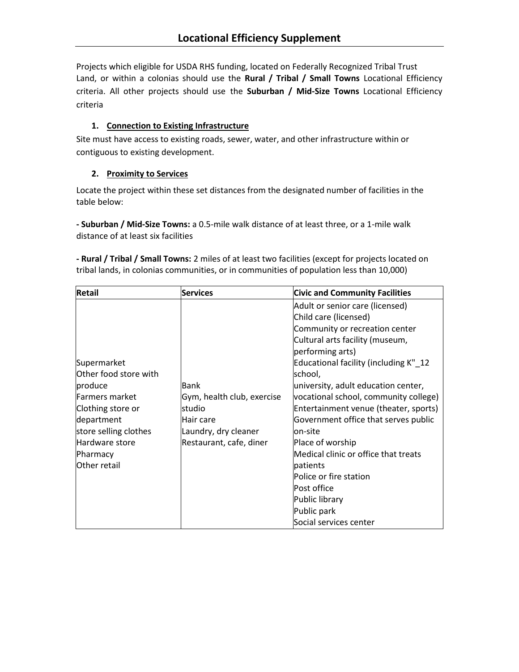Projects which eligible for USDA RHS funding, located on Federally Recognized Tribal Trust Land, or within a colonias should use the **Rural / Tribal / Small Towns** Locational Efficiency criteria. All other projects should use the **Suburban / Mid-Size Towns** Locational Efficiency criteria

#### **1. Connection to Existing Infrastructure**

Site must have access to existing roads, sewer, water, and other infrastructure within or contiguous to existing development.

#### **2. Proximity to Services**

Locate the project within these set distances from the designated number of facilities in the table below:

**- Suburban / Mid-Size Towns:** a 0.5-mile walk distance of at least three, or a 1-mile walk distance of at least six facilities

**- Rural / Tribal / Small Towns:** 2 miles of at least two facilities (except for projects located on tribal lands, in colonias communities, or in communities of population less than 10,000)

| Retail                | <b>Services</b>            | <b>Civic and Community Facilities</b> |
|-----------------------|----------------------------|---------------------------------------|
|                       |                            | Adult or senior care (licensed)       |
|                       |                            | Child care (licensed)                 |
|                       |                            | Community or recreation center        |
|                       |                            | Cultural arts facility (museum,       |
|                       |                            | performing arts)                      |
| Supermarket           |                            | Educational facility (including K"_12 |
| Other food store with |                            | school,                               |
| produce               | Bank                       | university, adult education center,   |
| Farmers market        | Gym, health club, exercise | vocational school, community college) |
| Clothing store or     | Istudio                    | Entertainment venue (theater, sports) |
| department            | Hair care                  | Government office that serves public  |
| store selling clothes | Laundry, dry cleaner       | lon-site                              |
| Hardware store        | Restaurant, cafe, diner    | Place of worship                      |
| Pharmacy              |                            | Medical clinic or office that treats  |
| Other retail          |                            | patients                              |
|                       |                            | Police or fire station                |
|                       |                            | Post office                           |
|                       |                            | Public library                        |
|                       |                            | Public park                           |
|                       |                            | Social services center                |